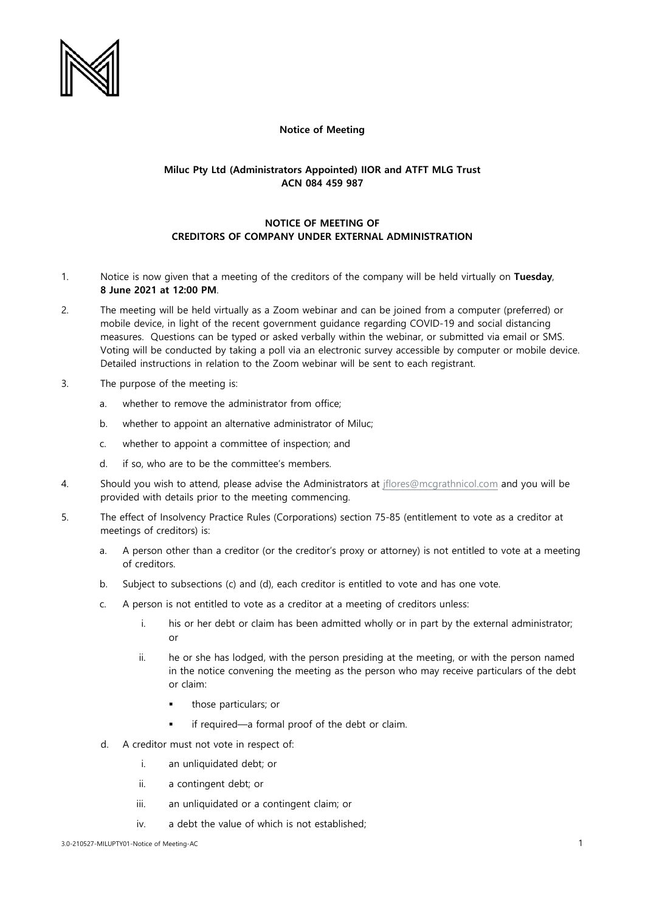

## **Notice of Meeting**

## **Miluc Pty Ltd (Administrators Appointed) IIOR and ATFT MLG Trust ACN 084 459 987**

## **NOTICE OF MEETING OF CREDITORS OF COMPANY UNDER EXTERNAL ADMINISTRATION**

- 1. Notice is now given that a meeting of the creditors of the company will be held virtually on **Tuesday**, **8 June 2021 at 12:00 PM**.
- 2. The meeting will be held virtually as a Zoom webinar and can be joined from a computer (preferred) or mobile device, in light of the recent government guidance regarding COVID-19 and social distancing measures. Questions can be typed or asked verbally within the webinar, or submitted via email or SMS. Voting will be conducted by taking a poll via an electronic survey accessible by computer or mobile device. Detailed instructions in relation to the Zoom webinar will be sent to each registrant.
- 3. The purpose of the meeting is:
	- a. whether to remove the administrator from office;
	- b. whether to appoint an alternative administrator of Miluc;
	- c. whether to appoint a committee of inspection; and
	- d. if so, who are to be the committee's members.
- 4. Should you wish to attend, please advise the Administrators at [jflores@mcgrathnicol.com](mailto:jflores@mcgrathnicol.com) and you will be provided with details prior to the meeting commencing.
- 5. The effect of Insolvency Practice Rules (Corporations) section 75-85 (entitlement to vote as a creditor at meetings of creditors) is:
	- a. A person other than a creditor (or the creditor's proxy or attorney) is not entitled to vote at a meeting of creditors.
	- b. Subject to subsections (c) and (d), each creditor is entitled to vote and has one vote.
	- c. A person is not entitled to vote as a creditor at a meeting of creditors unless:
		- i. his or her debt or claim has been admitted wholly or in part by the external administrator; or
		- ii. he or she has lodged, with the person presiding at the meeting, or with the person named in the notice convening the meeting as the person who may receive particulars of the debt or claim:
			- those particulars; or
			- if required—a formal proof of the debt or claim.
	- d. A creditor must not vote in respect of:
		- i. an unliquidated debt; or
		- ii. a contingent debt; or
		- iii. an unliquidated or a contingent claim; or
		- iv. a debt the value of which is not established;